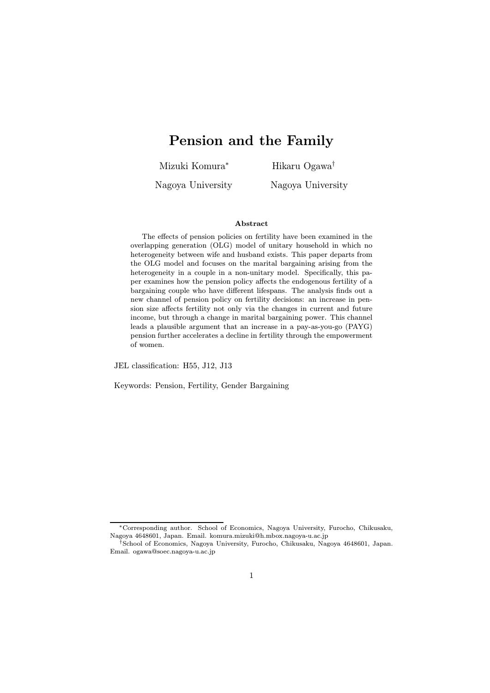# Pension and the Family

Mizuki Komura<sup>∗</sup> Hikaru Ogawa†

Nagoya University Nagoya University

#### Abstract

The effects of pension policies on fertility have been examined in the overlapping generation (OLG) model of unitary household in which no heterogeneity between wife and husband exists. This paper departs from the OLG model and focuses on the marital bargaining arising from the heterogeneity in a couple in a non-unitary model. Specifically, this paper examines how the pension policy affects the endogenous fertility of a bargaining couple who have different lifespans. The analysis finds out a new channel of pension policy on fertility decisions: an increase in pension size affects fertility not only via the changes in current and future income, but through a change in marital bargaining power. This channel leads a plausible argument that an increase in a pay-as-you-go (PAYG) pension further accelerates a decline in fertility through the empowerment of women.

JEL classification: H55, J12, J13

Keywords: Pension, Fertility, Gender Bargaining

<sup>∗</sup>Corresponding author. School of Economics, Nagoya University, Furocho, Chikusaku, Nagoya 4648601, Japan. Email. komura.mizuki@h.mbox.nagoya-u.ac.jp

<sup>†</sup>School of Economics, Nagoya University, Furocho, Chikusaku, Nagoya 4648601, Japan. Email. ogawa@soec.nagoya-u.ac.jp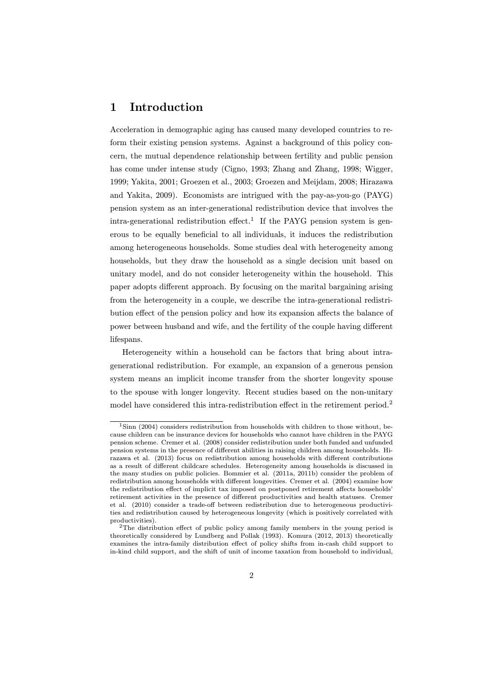# 1 Introduction

Acceleration in demographic aging has caused many developed countries to reform their existing pension systems. Against a background of this policy concern, the mutual dependence relationship between fertility and public pension has come under intense study (Cigno, 1993; Zhang and Zhang, 1998; Wigger, 1999; Yakita, 2001; Groezen et al., 2003; Groezen and Meijdam, 2008; Hirazawa and Yakita, 2009). Economists are intrigued with the pay-as-you-go (PAYG) pension system as an inter-generational redistribution device that involves the intra-generational redistribution effect.<sup>1</sup> If the PAYG pension system is generous to be equally beneficial to all individuals, it induces the redistribution among heterogeneous households. Some studies deal with heterogeneity among households, but they draw the household as a single decision unit based on unitary model, and do not consider heterogeneity within the household. This paper adopts different approach. By focusing on the marital bargaining arising from the heterogeneity in a couple, we describe the intra-generational redistribution effect of the pension policy and how its expansion affects the balance of power between husband and wife, and the fertility of the couple having different lifespans.

Heterogeneity within a household can be factors that bring about intragenerational redistribution. For example, an expansion of a generous pension system means an implicit income transfer from the shorter longevity spouse to the spouse with longer longevity. Recent studies based on the non-unitary model have considered this intra-redistribution effect in the retirement period.<sup>2</sup>

<sup>&</sup>lt;sup>1</sup>Sinn (2004) considers redistribution from households with children to those without, because children can be insurance devices for households who cannot have children in the PAYG pension scheme. Cremer et al. (2008) consider redistribution under both funded and unfunded pension systems in the presence of different abilities in raising children among households. Hirazawa et al. (2013) focus on redistribution among households with different contributions as a result of different childcare schedules. Heterogeneity among households is discussed in the many studies on public policies. Bommier et al. (2011a, 2011b) consider the problem of redistribution among households with different longevities. Cremer et al. (2004) examine how the redistribution effect of implicit tax imposed on postponed retirement affects households' retirement activities in the presence of different productivities and health statuses. Cremer et al. (2010) consider a trade-off between redistribution due to heterogeneous productivities and redistribution caused by heterogeneous longevity (which is positively correlated with productivities).

<sup>&</sup>lt;sup>2</sup>The distribution effect of public policy among family members in the young period is theoretically considered by Lundberg and Pollak (1993). Komura (2012, 2013) theoretically examines the intra-family distribution effect of policy shifts from in-cash child support to in-kind child support, and the shift of unit of income taxation from household to individual,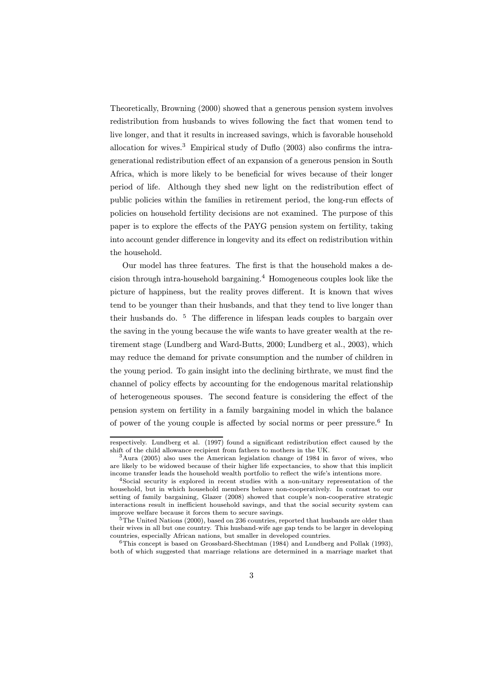Theoretically, Browning (2000) showed that a generous pension system involves redistribution from husbands to wives following the fact that women tend to live longer, and that it results in increased savings, which is favorable household allocation for wives.<sup>3</sup> Empirical study of Duflo  $(2003)$  also confirms the intragenerational redistribution effect of an expansion of a generous pension in South Africa, which is more likely to be beneficial for wives because of their longer period of life. Although they shed new light on the redistribution effect of public policies within the families in retirement period, the long-run effects of policies on household fertility decisions are not examined. The purpose of this paper is to explore the effects of the PAYG pension system on fertility, taking into account gender difference in longevity and its effect on redistribution within the household.

Our model has three features. The first is that the household makes a decision through intra-household bargaining.<sup>4</sup> Homogeneous couples look like the picture of happiness, but the reality proves different. It is known that wives tend to be younger than their husbands, and that they tend to live longer than their husbands do. <sup>5</sup> The difference in lifespan leads couples to bargain over the saving in the young because the wife wants to have greater wealth at the retirement stage (Lundberg and Ward-Butts, 2000; Lundberg et al., 2003), which may reduce the demand for private consumption and the number of children in the young period. To gain insight into the declining birthrate, we must find the channel of policy effects by accounting for the endogenous marital relationship of heterogeneous spouses. The second feature is considering the effect of the pension system on fertility in a family bargaining model in which the balance of power of the young couple is affected by social norms or peer pressure.<sup>6</sup> In

respectively. Lundberg et al. (1997) found a significant redistribution effect caused by the shift of the child allowance recipient from fathers to mothers in the UK.

 $3\text{A}$ ura (2005) also uses the American legislation change of 1984 in favor of wives, who are likely to be widowed because of their higher life expectancies, to show that this implicit income transfer leads the household wealth portfolio to reflect the wife's intentions more.

<sup>4</sup>Social security is explored in recent studies with a non-unitary representation of the household, but in which household members behave non-cooperatively. In contrast to our setting of family bargaining, Glazer (2008) showed that couple's non-cooperative strategic interactions result in inefficient household savings, and that the social security system can improve welfare because it forces them to secure savings.

<sup>&</sup>lt;sup>5</sup>The United Nations (2000), based on 236 countries, reported that husbands are older than their wives in all but one country. This husband-wife age gap tends to be larger in developing countries, especially African nations, but smaller in developed countries.

<sup>6</sup>This concept is based on Grossbard-Shechtman (1984) and Lundberg and Pollak (1993), both of which suggested that marriage relations are determined in a marriage market that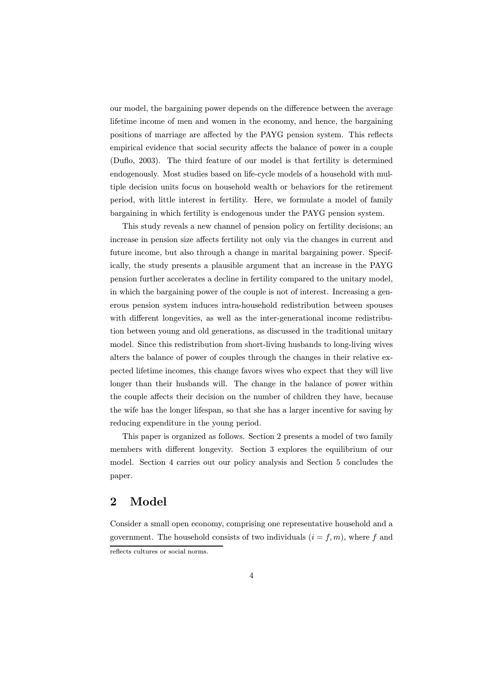our model, the bargaining power depends on the difference between the average lifetime income of men and women in the economy, and hence, the bargaining positions of marriage are affected by the PAYG pension system. This reflects empirical evidence that social security affects the balance of power in a couple (Duflo, 2003). The third feature of our model is that fertility is determined endogenously. Most studies based on life-cycle models of a household with multiple decision units focus on household wealth or behaviors for the retirement period, with little interest in fertility. Here, we formulate a model of family bargaining in which fertility is endogenous under the PAYG pension system.

This study reveals a new channel of pension policy on fertility decisions; an increase in pension size affects fertility not only via the changes in current and future income, but also through a change in marital bargaining power. Specifically, the study presents a plausible argument that an increase in the PAYG pension further accelerates a decline in fertility compared to the unitary model, in which the bargaining power of the couple is not of interest. Increasing a generous pension system induces intra-household redistribution between spouses with different longevities, as well as the inter-generational income redistribution between young and old generations, as discussed in the traditional unitary model. Since this redistribution from short-living husbands to long-living wives alters the balance of power of couples through the changes in their relative expected lifetime incomes, this change favors wives who expect that they will live longer than their husbands will. The change in the balance of power within the couple affects their decision on the number of children they have, because the wife has the longer lifespan, so that she has a larger incentive for saving by reducing expenditure in the young period.

This paper is organized as follows. Section 2 presents a model of two family members with different longevity. Section 3 explores the equilibrium of our model. Section 4 carries out our policy analysis and Section 5 concludes the paper.

### 2 Model

Consider a small open economy, comprising one representative household and a government. The household consists of two individuals  $(i = f, m)$ , where f and reflects cultures or social norms.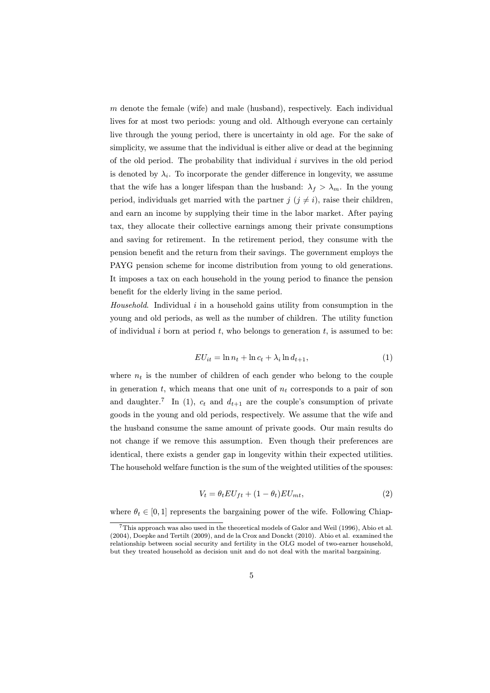$m$  denote the female (wife) and male (husband), respectively. Each individual lives for at most two periods: young and old. Although everyone can certainly live through the young period, there is uncertainty in old age. For the sake of simplicity, we assume that the individual is either alive or dead at the beginning of the old period. The probability that individual  $i$  survives in the old period is denoted by  $\lambda_i$ . To incorporate the gender difference in longevity, we assume that the wife has a longer lifespan than the husband:  $\lambda_f > \lambda_m$ . In the young period, individuals get married with the partner  $j$   $(j \neq i)$ , raise their children, and earn an income by supplying their time in the labor market. After paying tax, they allocate their collective earnings among their private consumptions and saving for retirement. In the retirement period, they consume with the pension benefit and the return from their savings. The government employs the PAYG pension scheme for income distribution from young to old generations. It imposes a tax on each household in the young period to finance the pension benefit for the elderly living in the same period.

*Household*. Individual i in a household gains utility from consumption in the young and old periods, as well as the number of children. The utility function of individual i born at period  $t$ , who belongs to generation  $t$ , is assumed to be:

$$
EU_{it} = \ln n_t + \ln c_t + \lambda_i \ln d_{t+1},\tag{1}
$$

where  $n_t$  is the number of children of each gender who belong to the couple in generation t, which means that one unit of  $n_t$  corresponds to a pair of son and daughter.<sup>7</sup> In (1),  $c_t$  and  $d_{t+1}$  are the couple's consumption of private goods in the young and old periods, respectively. We assume that the wife and the husband consume the same amount of private goods. Our main results do not change if we remove this assumption. Even though their preferences are identical, there exists a gender gap in longevity within their expected utilities. The household welfare function is the sum of the weighted utilities of the spouses:

$$
V_t = \theta_t EU_{ft} + (1 - \theta_t)EU_{mt},\tag{2}
$$

where  $\theta_t \in [0, 1]$  represents the bargaining power of the wife. Following Chiap-

<sup>7</sup>This approach was also used in the theoretical models of Galor and Weil (1996), Abio et al. (2004), Doepke and Tertilt (2009), and de la Crox and Donckt (2010). Abio et al. examined the relationship between social security and fertility in the OLG model of two-earner household, but they treated household as decision unit and do not deal with the marital bargaining.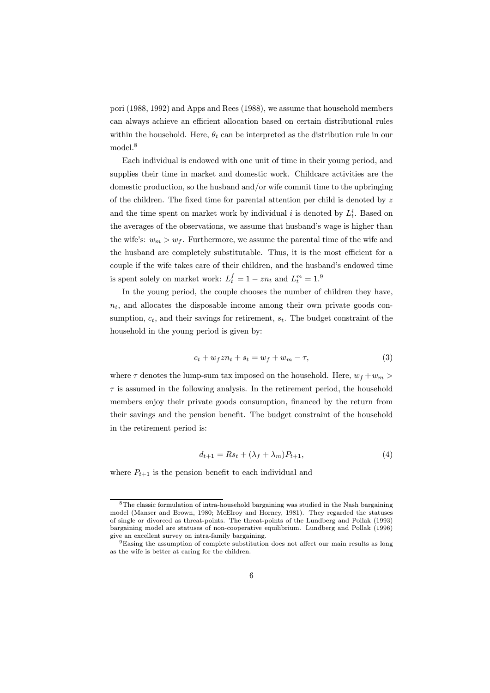pori (1988, 1992) and Apps and Rees (1988), we assume that household members can always achieve an efficient allocation based on certain distributional rules within the household. Here,  $\theta_t$  can be interpreted as the distribution rule in our model.<sup>8</sup>

Each individual is endowed with one unit of time in their young period, and supplies their time in market and domestic work. Childcare activities are the domestic production, so the husband and/or wife commit time to the upbringing of the children. The fixed time for parental attention per child is denoted by z and the time spent on market work by individual *i* is denoted by  $L_t^i$ . Based on the averages of the observations, we assume that husband's wage is higher than the wife's:  $w_m > w_f$ . Furthermore, we assume the parental time of the wife and the husband are completely substitutable. Thus, it is the most efficient for a couple if the wife takes care of their children, and the husband's endowed time is spent solely on market work:  $L_t^f = 1 - zn_t$  and  $L_t^m = 1$ .<sup>9</sup>

In the young period, the couple chooses the number of children they have,  $n_t$ , and allocates the disposable income among their own private goods consumption,  $c_t$ , and their savings for retirement,  $s_t$ . The budget constraint of the household in the young period is given by:

$$
c_t + w_f z n_t + s_t = w_f + w_m - \tau,\tag{3}
$$

where  $\tau$  denotes the lump-sum tax imposed on the household. Here,  $w_f + w_m$  $\tau$  is assumed in the following analysis. In the retirement period, the household members enjoy their private goods consumption, financed by the return from their savings and the pension benefit. The budget constraint of the household in the retirement period is:

$$
d_{t+1} = Rs_t + (\lambda_f + \lambda_m)P_{t+1},\tag{4}
$$

where  $P_{t+1}$  is the pension benefit to each individual and

<sup>&</sup>lt;sup>8</sup>The classic formulation of intra-household bargaining was studied in the Nash bargaining model (Manser and Brown, 1980; McElroy and Horney, 1981). They regarded the statuses of single or divorced as threat-points. The threat-points of the Lundberg and Pollak (1993) bargaining model are statuses of non-cooperative equilibrium. Lundberg and Pollak (1996) give an excellent survey on intra-family bargaining.

 $^9\mathrm{Easing}$  the assumption of complete substitution does not affect our main results as long as the wife is better at caring for the children.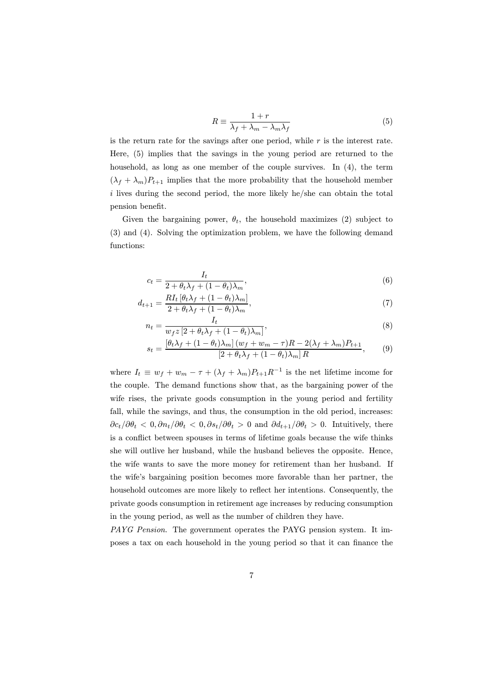$$
R \equiv \frac{1+r}{\lambda_f + \lambda_m - \lambda_m \lambda_f} \tag{5}
$$

is the return rate for the savings after one period, while  $r$  is the interest rate. Here, (5) implies that the savings in the young period are returned to the household, as long as one member of the couple survives. In (4), the term  $(\lambda_f + \lambda_m)P_{t+1}$  implies that the more probability that the household member i lives during the second period, the more likely he/she can obtain the total pension benefit.

Given the bargaining power,  $\theta_t$ , the household maximizes (2) subject to (3) and (4). Solving the optimization problem, we have the following demand functions:

$$
c_t = \frac{I_t}{2 + \theta_t \lambda_f + (1 - \theta_t) \lambda_m},\tag{6}
$$

$$
d_{t+1} = \frac{RI_t \left[\theta_t \lambda_f + (1 - \theta_t) \lambda_m\right]}{2 + \theta_t \lambda_f + (1 - \theta_t) \lambda_m},\tag{7}
$$

$$
n_t = \frac{I_t}{w_f z \left[2 + \theta_t \lambda_f + (1 - \theta_t)\lambda_m\right]},\tag{8}
$$

$$
s_t = \frac{\left[\theta_t \lambda_f + (1 - \theta_t)\lambda_m\right](w_f + w_m - \tau)R - 2(\lambda_f + \lambda_m)P_{t+1}}{\left[2 + \theta_t \lambda_f + (1 - \theta_t)\lambda_m\right]R},\tag{9}
$$

where  $I_t \equiv w_f + w_m - \tau + (\lambda_f + \lambda_m)P_{t+1}R^{-1}$  is the net lifetime income for the couple. The demand functions show that, as the bargaining power of the wife rises, the private goods consumption in the young period and fertility fall, while the savings, and thus, the consumption in the old period, increases:  $\partial c_t/\partial \theta_t < 0$ ,  $\partial n_t/\partial \theta_t < 0$ ,  $\partial s_t/\partial \theta_t > 0$  and  $\partial d_{t+1}/\partial \theta_t > 0$ . Intuitively, there is a conflict between spouses in terms of lifetime goals because the wife thinks she will outlive her husband, while the husband believes the opposite. Hence, the wife wants to save the more money for retirement than her husband. If the wife's bargaining position becomes more favorable than her partner, the household outcomes are more likely to reflect her intentions. Consequently, the private goods consumption in retirement age increases by reducing consumption in the young period, as well as the number of children they have.

*PAYG Pension*. The government operates the PAYG pension system. It imposes a tax on each household in the young period so that it can finance the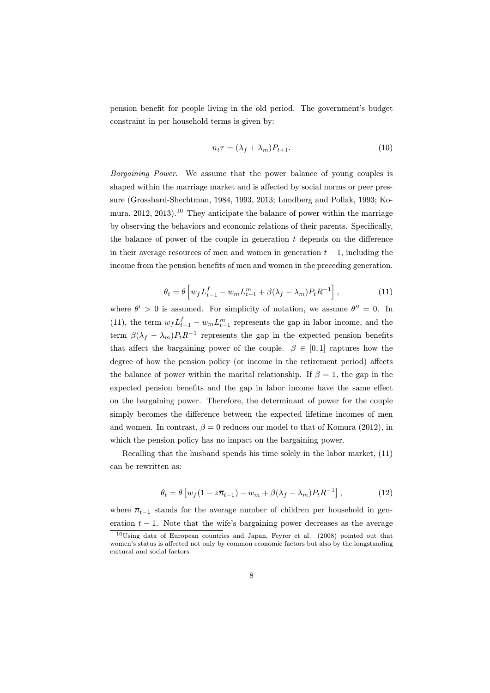pension benefit for people living in the old period. The government's budget constraint in per household terms is given by:

$$
n_t \tau = (\lambda_f + \lambda_m) P_{t+1}.
$$
\n(10)

*Bargaining Power*. We assume that the power balance of young couples is shaped within the marriage market and is affected by social norms or peer pressure (Grossbard-Shechtman, 1984, 1993, 2013; Lundberg and Pollak, 1993; Komura,  $2012$ ,  $2013$ ).<sup>10</sup> They anticipate the balance of power within the marriage by observing the behaviors and economic relations of their parents. Specifically, the balance of power of the couple in generation t depends on the difference in their average resources of men and women in generation  $t - 1$ , including the income from the pension benefits of men and women in the preceding generation.

$$
\theta_t = \theta \left[ w_f L_{t-1}^f - w_m L_{t-1}^m + \beta (\lambda_f - \lambda_m) P_t R^{-1} \right],\tag{11}
$$

where  $\theta' > 0$  is assumed. For simplicity of notation, we assume  $\theta'' = 0$ . In (11), the term  $w_f L_{t-1}^f - w_m L_{t-1}^m$  represents the gap in labor income, and the term  $\beta(\lambda_f - \lambda_m) P_t R^{-1}$  represents the gap in the expected pension benefits that affect the bargaining power of the couple.  $\beta \in [0,1]$  captures how the degree of how the pension policy (or income in the retirement period) affects the balance of power within the marital relationship. If  $\beta = 1$ , the gap in the expected pension benefits and the gap in labor income have the same effect on the bargaining power. Therefore, the determinant of power for the couple simply becomes the difference between the expected lifetime incomes of men and women. In contrast,  $\beta = 0$  reduces our model to that of Komura (2012), in which the pension policy has no impact on the bargaining power.

Recalling that the husband spends his time solely in the labor market, (11) can be rewritten as:

$$
\theta_t = \theta \left[ w_f (1 - z\overline{n}_{t-1}) - w_m + \beta (\lambda_f - \lambda_m) P_t R^{-1} \right],\tag{12}
$$

where  $\overline{n}_{t-1}$  stands for the average number of children per household in generation  $t - 1$ . Note that the wife's bargaining power decreases as the average

<sup>10</sup>Using data of European countries and Japan, Feyrer et al. (2008) pointed out that women's status is affected not only by common economic factors but also by the longstanding cultural and social factors.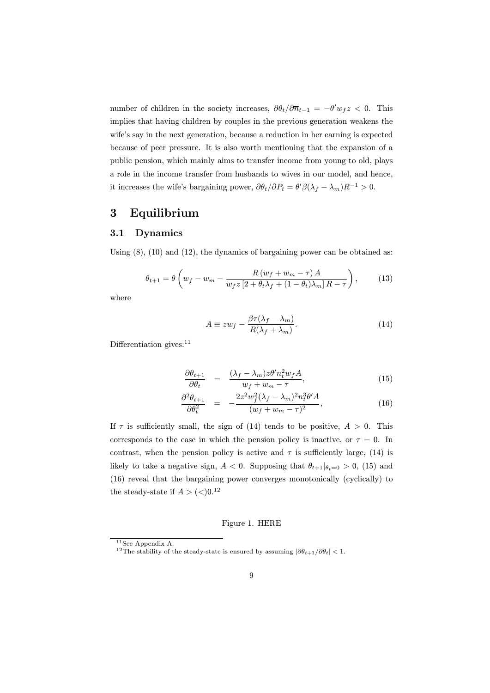number of children in the society increases,  $\partial \theta_t / \partial \overline{n}_{t-1} = -\theta' w_f z < 0$ . This implies that having children by couples in the previous generation weakens the wife's say in the next generation, because a reduction in her earning is expected because of peer pressure. It is also worth mentioning that the expansion of a public pension, which mainly aims to transfer income from young to old, plays a role in the income transfer from husbands to wives in our model, and hence, it increases the wife's bargaining power,  $\partial \theta_t / \partial P_t = \theta' \beta (\lambda_f - \lambda_m) R^{-1} > 0$ .

# 3 Equilibrium

#### 3.1 Dynamics

Using (8), (10) and (12), the dynamics of bargaining power can be obtained as:

$$
\theta_{t+1} = \theta \left( w_f - w_m - \frac{R \left( w_f + w_m - \tau \right) A}{w_f z \left[ 2 + \theta_t \lambda_f + (1 - \theta_t) \lambda_m \right] R - \tau} \right),\tag{13}
$$

where

$$
A \equiv zw_f - \frac{\beta \tau (\lambda_f - \lambda_m)}{R(\lambda_f + \lambda_m)}.
$$
\n(14)

Differentiation gives: $11$ 

$$
\frac{\partial \theta_{t+1}}{\partial \theta_t} = \frac{(\lambda_f - \lambda_m) z \theta' n_t^2 w_f A}{w_f + w_m - \tau},
$$
\n(15)

$$
\frac{\partial^2 \theta_{t+1}}{\partial \theta_t^2} = -\frac{2z^2 w_f^2 (\lambda_f - \lambda_m)^2 n_t^3 \theta' A}{(w_f + w_m - \tau)^2},
$$
\n(16)

If  $\tau$  is sufficiently small, the sign of (14) tends to be positive,  $A > 0$ . This corresponds to the case in which the pension policy is inactive, or  $\tau = 0$ . In contrast, when the pension policy is active and  $\tau$  is sufficiently large, (14) is likely to take a negative sign,  $A < 0$ . Supposing that  $\theta_{t+1} |_{\theta_t=0} > 0$ , (15) and (16) reveal that the bargaining power converges monotonically (cyclically) to the steady-state if  $A > (0)$ .<sup>12</sup>

#### Figure 1. HERE

<sup>11</sup>See Appendix A.

<sup>&</sup>lt;sup>12</sup>The stability of the steady-state is ensured by assuming  $|\partial \theta_{t+1}/\partial \theta_t|$  < 1.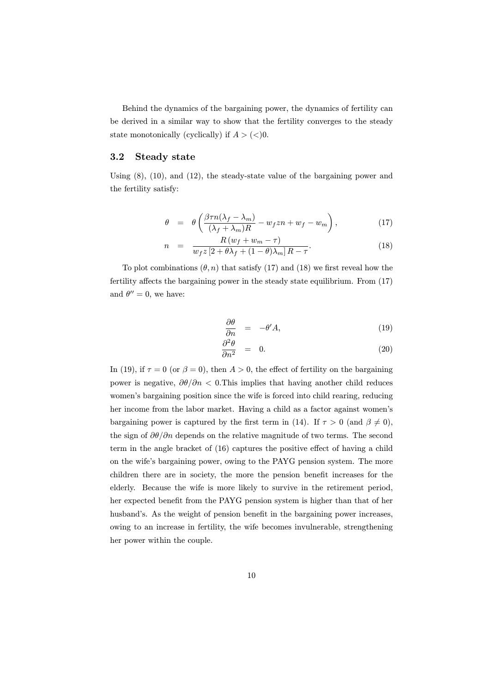Behind the dynamics of the bargaining power, the dynamics of fertility can be derived in a similar way to show that the fertility converges to the steady state monotonically (cyclically) if  $A > \langle \langle \rangle 0$ .

### 3.2 Steady state

Using (8), (10), and (12), the steady-state value of the bargaining power and the fertility satisfy:

$$
\theta = \theta \left( \frac{\beta \tau n (\lambda_f - \lambda_m)}{(\lambda_f + \lambda_m) R} - w_f z n + w_f - w_m \right), \tag{17}
$$

$$
n = \frac{R(w_f + w_m - \tau)}{w_f z \left[2 + \theta \lambda_f + (1 - \theta)\lambda_m\right]R - \tau}.
$$
\n(18)

To plot combinations  $(\theta, n)$  that satisfy (17) and (18) we first reveal how the fertility affects the bargaining power in the steady state equilibrium. From (17) and  $\theta'' = 0$ , we have:

$$
\frac{\partial \theta}{\partial n} = -\theta' A, \tag{19}
$$

$$
\frac{\partial^2 \theta}{\partial n^2} = 0. \tag{20}
$$

In (19), if  $\tau = 0$  (or  $\beta = 0$ ), then  $A > 0$ , the effect of fertility on the bargaining power is negative,  $\partial\theta/\partial n$  < 0. This implies that having another child reduces women's bargaining position since the wife is forced into child rearing, reducing her income from the labor market. Having a child as a factor against women's bargaining power is captured by the first term in (14). If  $\tau > 0$  (and  $\beta \neq 0$ ), the sign of  $\partial\theta/\partial n$  depends on the relative magnitude of two terms. The second term in the angle bracket of (16) captures the positive effect of having a child on the wife's bargaining power, owing to the PAYG pension system. The more children there are in society, the more the pension benefit increases for the elderly. Because the wife is more likely to survive in the retirement period, her expected benefit from the PAYG pension system is higher than that of her husband's. As the weight of pension benefit in the bargaining power increases, owing to an increase in fertility, the wife becomes invulnerable, strengthening her power within the couple.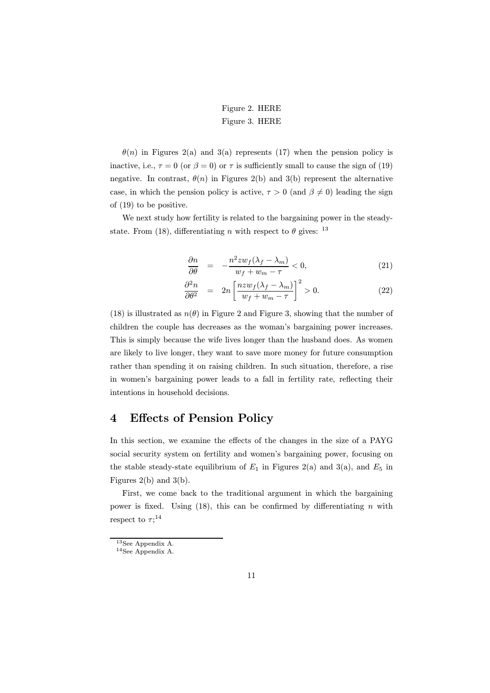### Figure 2. HERE Figure 3. HERE

 $\theta(n)$  in Figures 2(a) and 3(a) represents (17) when the pension policy is inactive, i.e.,  $\tau = 0$  (or  $\beta = 0$ ) or  $\tau$  is sufficiently small to cause the sign of (19) negative. In contrast,  $\theta(n)$  in Figures 2(b) and 3(b) represent the alternative case, in which the pension policy is active,  $\tau > 0$  (and  $\beta \neq 0$ ) leading the sign of (19) to be positive.

We next study how fertility is related to the bargaining power in the steadystate. From (18), differentiating n with respect to  $\theta$  gives: <sup>13</sup>

$$
\frac{\partial n}{\partial \theta} = -\frac{n^2 z w_f (\lambda_f - \lambda_m)}{w_f + w_m - \tau} < 0,\tag{21}
$$

$$
\frac{\partial^2 n}{\partial \theta^2} = 2n \left[ \frac{nzw_f(\lambda_f - \lambda_m)}{w_f + w_m - \tau} \right]^2 > 0.
$$
 (22)

(18) is illustrated as  $n(\theta)$  in Figure 2 and Figure 3, showing that the number of children the couple has decreases as the woman's bargaining power increases. This is simply because the wife lives longer than the husband does. As women are likely to live longer, they want to save more money for future consumption rather than spending it on raising children. In such situation, therefore, a rise in women's bargaining power leads to a fall in fertility rate, reflecting their intentions in household decisions.

# 4 Effects of Pension Policy

In this section, we examine the effects of the changes in the size of a PAYG social security system on fertility and women's bargaining power, focusing on the stable steady-state equilibrium of  $E_1$  in Figures 2(a) and 3(a), and  $E_5$  in Figures 2(b) and 3(b).

First, we come back to the traditional argument in which the bargaining power is fixed. Using  $(18)$ , this can be confirmed by differentiating n with respect to  $\tau;^{14}$ 

<sup>13</sup>See Appendix A.

<sup>14</sup>See Appendix A.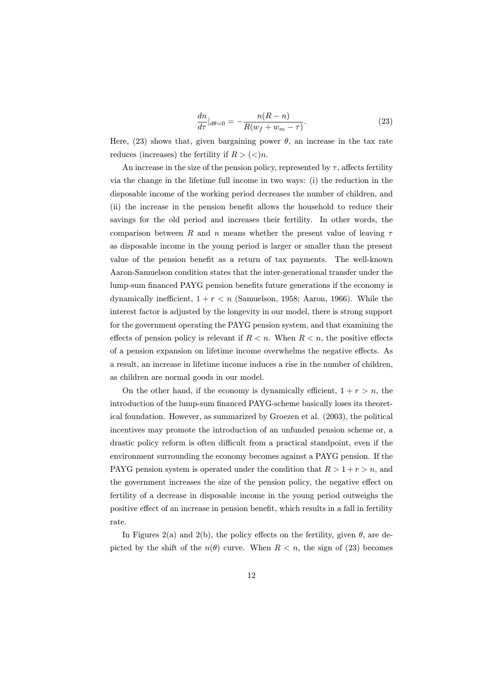$$
\frac{dn}{d\tau}|_{d\theta=0} = -\frac{n(R-n)}{R(w_f+w_m-\tau)}.\tag{23}
$$

Here, (23) shows that, given bargaining power  $\theta$ , an increase in the tax rate reduces (increases) the fertility if  $R > \langle \langle \rangle n$ .

An increase in the size of the pension policy, represented by  $\tau$ , affects fertility via the change in the lifetime full income in two ways: (i) the reduction in the disposable income of the working period decreases the number of children, and (ii) the increase in the pension benefit allows the household to reduce their savings for the old period and increases their fertility. In other words, the comparison between R and n means whether the present value of leaving  $\tau$ as disposable income in the young period is larger or smaller than the present value of the pension benefit as a return of tax payments. The well-known Aaron-Samuelson condition states that the inter-generational transfer under the lump-sum financed PAYG pension benefits future generations if the economy is dynamically inefficient,  $1 + r < n$  (Samuelson, 1958; Aaron, 1966). While the interest factor is adjusted by the longevity in our model, there is strong support for the government operating the PAYG pension system, and that examining the effects of pension policy is relevant if  $R < n$ . When  $R < n$ , the positive effects of a pension expansion on lifetime income overwhelms the negative effects. As a result, an increase in lifetime income induces a rise in the number of children, as children are normal goods in our model.

On the other hand, if the economy is dynamically efficient,  $1 + r > n$ , the introduction of the lump-sum financed PAYG-scheme basically loses its theoretical foundation. However, as summarized by Groezen et al. (2003), the political incentives may promote the introduction of an unfunded pension scheme or, a drastic policy reform is often difficult from a practical standpoint, even if the environment surrounding the economy becomes against a PAYG pension. If the PAYG pension system is operated under the condition that  $R > 1 + r > n$ , and the government increases the size of the pension policy, the negative effect on fertility of a decrease in disposable income in the young period outweighs the positive effect of an increase in pension benefit, which results in a fall in fertility rate.

In Figures 2(a) and 2(b), the policy effects on the fertility, given  $\theta$ , are depicted by the shift of the  $n(\theta)$  curve. When  $R < n$ , the sign of (23) becomes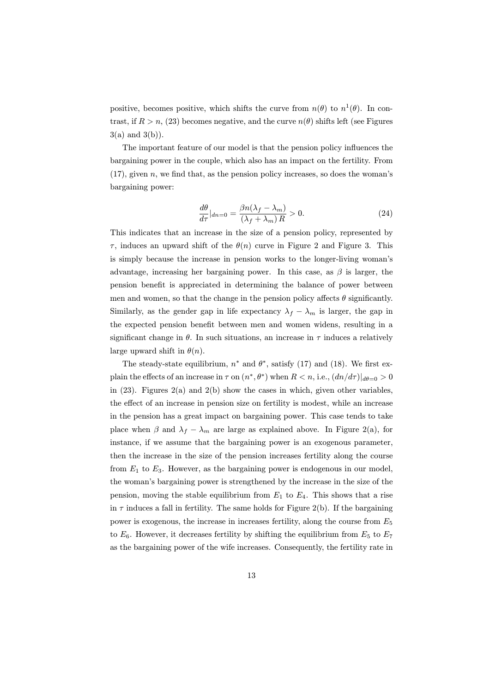positive, becomes positive, which shifts the curve from  $n(\theta)$  to  $n^1(\theta)$ . In contrast, if  $R > n$ , (23) becomes negative, and the curve  $n(\theta)$  shifts left (see Figures  $3(a)$  and  $3(b)$ ).

The important feature of our model is that the pension policy influences the bargaining power in the couple, which also has an impact on the fertility. From  $(17)$ , given n, we find that, as the pension policy increases, so does the woman's bargaining power:

$$
\frac{d\theta}{d\tau}|_{dn=0} = \frac{\beta n(\lambda_f - \lambda_m)}{(\lambda_f + \lambda_m) R} > 0.
$$
\n(24)

This indicates that an increase in the size of a pension policy, represented by  $\tau$ , induces an upward shift of the  $\theta(n)$  curve in Figure 2 and Figure 3. This is simply because the increase in pension works to the longer-living woman's advantage, increasing her bargaining power. In this case, as  $\beta$  is larger, the pension benefit is appreciated in determining the balance of power between men and women, so that the change in the pension policy affects  $\theta$  significantly. Similarly, as the gender gap in life expectancy  $\lambda_f - \lambda_m$  is larger, the gap in the expected pension benefit between men and women widens, resulting in a significant change in  $\theta$ . In such situations, an increase in  $\tau$  induces a relatively large upward shift in  $\theta(n)$ .

The steady-state equilibrium,  $n^*$  and  $\theta^*$ , satisfy (17) and (18). We first explain the effects of an increase in  $\tau$  on  $(n^*, \theta^*)$  when  $R < n$ , i.e.,  $(dn/d\tau)|_{d\theta=0} > 0$ in  $(23)$ . Figures  $2(a)$  and  $2(b)$  show the cases in which, given other variables. the effect of an increase in pension size on fertility is modest, while an increase in the pension has a great impact on bargaining power. This case tends to take place when  $\beta$  and  $\lambda_f - \lambda_m$  are large as explained above. In Figure 2(a), for instance, if we assume that the bargaining power is an exogenous parameter, then the increase in the size of the pension increases fertility along the course from  $E_1$  to  $E_3$ . However, as the bargaining power is endogenous in our model. the woman's bargaining power is strengthened by the increase in the size of the pension, moving the stable equilibrium from  $E_1$  to  $E_4$ . This shows that a rise in  $\tau$  induces a fall in fertility. The same holds for Figure 2(b). If the bargaining power is exogenous, the increase in increases fertility, along the course from  $E_5$ to  $E_6$ . However, it decreases fertility by shifting the equilibrium from  $E_5$  to  $E_7$ as the bargaining power of the wife increases. Consequently, the fertility rate in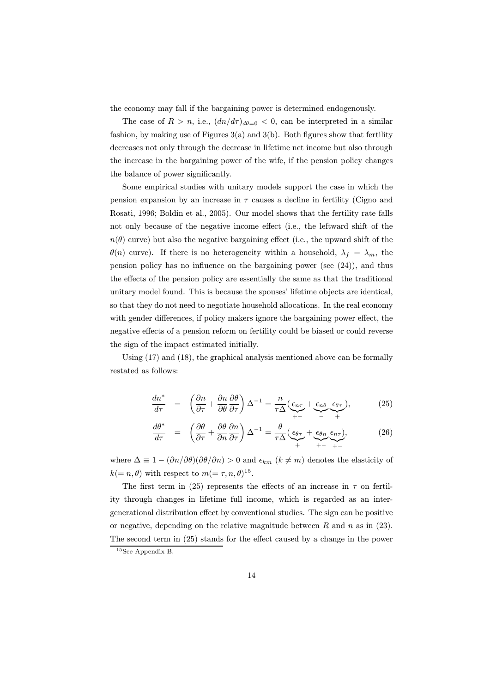the economy may fall if the bargaining power is determined endogenously.

The case of  $R > n$ , i.e.,  $(dn/d\tau)_{d\theta=0} < 0$ , can be interpreted in a similar fashion, by making use of Figures  $3(a)$  and  $3(b)$ . Both figures show that fertility decreases not only through the decrease in lifetime net income but also through the increase in the bargaining power of the wife, if the pension policy changes the balance of power significantly.

Some empirical studies with unitary models support the case in which the pension expansion by an increase in  $\tau$  causes a decline in fertility (Cigno and Rosati, 1996; Boldin et al., 2005). Our model shows that the fertility rate falls not only because of the negative income effect (i.e., the leftward shift of the  $n(\theta)$  curve) but also the negative bargaining effect (i.e., the upward shift of the  $\theta(n)$  curve). If there is no heterogeneity within a household,  $\lambda_f = \lambda_m$ , the pension policy has no influence on the bargaining power (see (24)), and thus the effects of the pension policy are essentially the same as that the traditional unitary model found. This is because the spouses' lifetime objects are identical, so that they do not need to negotiate household allocations. In the real economy with gender differences, if policy makers ignore the bargaining power effect, the negative effects of a pension reform on fertility could be biased or could reverse the sign of the impact estimated initially.

Using  $(17)$  and  $(18)$ , the graphical analysis mentioned above can be formally restated as follows:

$$
\frac{dn^*}{d\tau} = \left(\frac{\partial n}{\partial \tau} + \frac{\partial n}{\partial \theta} \frac{\partial \theta}{\partial \tau}\right) \Delta^{-1} = \frac{n}{\tau \Delta} \underbrace{(\epsilon_{n\tau}}_{+-} + \underbrace{\epsilon_{n\theta}}_{-} \underbrace{\epsilon_{\theta\tau}}_{+}),\tag{25}
$$

$$
\frac{d\theta^*}{d\tau} = \left(\frac{\partial\theta}{\partial\tau} + \frac{\partial\theta}{\partial n}\frac{\partial n}{\partial\tau}\right)\Delta^{-1} = \frac{\theta}{\tau\Delta}(\underbrace{\epsilon_{\theta\tau}}_{+} + \underbrace{\epsilon_{\theta n}}_{+} \underbrace{\epsilon_{n\tau}}_{+ -} ),
$$
\n(26)

where  $\Delta \equiv 1 - (\partial n/\partial \theta)(\partial \theta/\partial n) > 0$  and  $\epsilon_{km}$   $(k \neq m)$  denotes the elasticity of  $k(=n, \theta)$  with respect to  $m(=\tau, n, \theta)^{15}$ .

The first term in (25) represents the effects of an increase in  $\tau$  on fertility through changes in lifetime full income, which is regarded as an intergenerational distribution effect by conventional studies. The sign can be positive or negative, depending on the relative magnitude between  $R$  and  $n$  as in (23). The second term in (25) stands for the effect caused by a change in the power

<sup>15</sup>See Appendix B.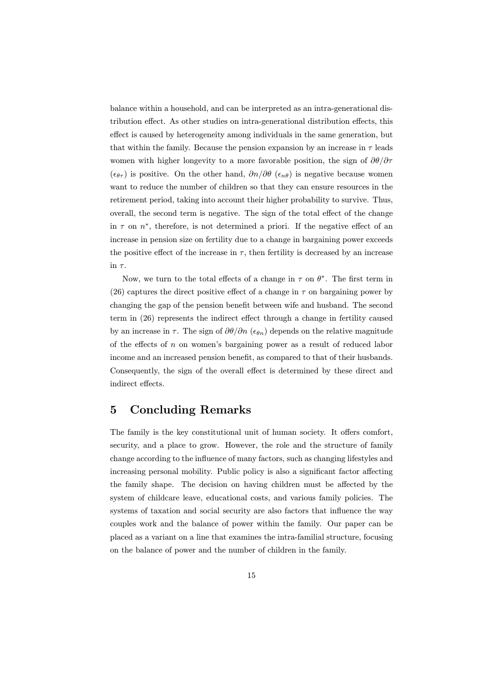balance within a household, and can be interpreted as an intra-generational distribution effect. As other studies on intra-generational distribution effects, this effect is caused by heterogeneity among individuals in the same generation, but that within the family. Because the pension expansion by an increase in  $\tau$  leads women with higher longevity to a more favorable position, the sign of  $\partial\theta/\partial\tau$  $(\epsilon_{\theta\tau})$  is positive. On the other hand,  $\partial n/\partial \theta$  ( $\epsilon_{n\theta}$ ) is negative because women want to reduce the number of children so that they can ensure resources in the retirement period, taking into account their higher probability to survive. Thus, overall, the second term is negative. The sign of the total effect of the change in  $\tau$  on  $n^*$ , therefore, is not determined a priori. If the negative effect of an increase in pension size on fertility due to a change in bargaining power exceeds the positive effect of the increase in  $\tau$ , then fertility is decreased by an increase in  $\tau$ .

Now, we turn to the total effects of a change in  $\tau$  on  $\theta^*$ . The first term in (26) captures the direct positive effect of a change in  $\tau$  on bargaining power by changing the gap of the pension benefit between wife and husband. The second term in (26) represents the indirect effect through a change in fertility caused by an increase in  $\tau$ . The sign of  $\partial\theta/\partial n$  ( $\epsilon_{\theta n}$ ) depends on the relative magnitude of the effects of  $n$  on women's bargaining power as a result of reduced labor income and an increased pension benefit, as compared to that of their husbands. Consequently, the sign of the overall effect is determined by these direct and indirect effects.

# 5 Concluding Remarks

The family is the key constitutional unit of human society. It offers comfort, security, and a place to grow. However, the role and the structure of family change according to the influence of many factors, such as changing lifestyles and increasing personal mobility. Public policy is also a significant factor affecting the family shape. The decision on having children must be affected by the system of childcare leave, educational costs, and various family policies. The systems of taxation and social security are also factors that influence the way couples work and the balance of power within the family. Our paper can be placed as a variant on a line that examines the intra-familial structure, focusing on the balance of power and the number of children in the family.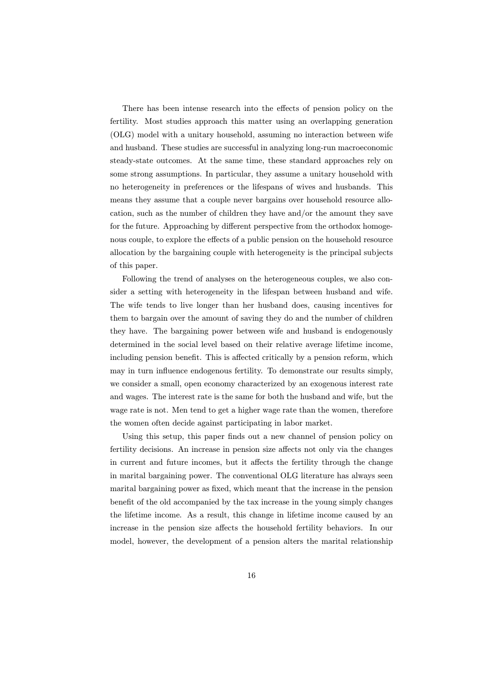There has been intense research into the effects of pension policy on the fertility. Most studies approach this matter using an overlapping generation (OLG) model with a unitary household, assuming no interaction between wife and husband. These studies are successful in analyzing long-run macroeconomic steady-state outcomes. At the same time, these standard approaches rely on some strong assumptions. In particular, they assume a unitary household with no heterogeneity in preferences or the lifespans of wives and husbands. This means they assume that a couple never bargains over household resource allocation, such as the number of children they have and/or the amount they save for the future. Approaching by different perspective from the orthodox homogenous couple, to explore the effects of a public pension on the household resource allocation by the bargaining couple with heterogeneity is the principal subjects of this paper.

Following the trend of analyses on the heterogeneous couples, we also consider a setting with heterogeneity in the lifespan between husband and wife. The wife tends to live longer than her husband does, causing incentives for them to bargain over the amount of saving they do and the number of children they have. The bargaining power between wife and husband is endogenously determined in the social level based on their relative average lifetime income, including pension benefit. This is affected critically by a pension reform, which may in turn influence endogenous fertility. To demonstrate our results simply, we consider a small, open economy characterized by an exogenous interest rate and wages. The interest rate is the same for both the husband and wife, but the wage rate is not. Men tend to get a higher wage rate than the women, therefore the women often decide against participating in labor market.

Using this setup, this paper finds out a new channel of pension policy on fertility decisions. An increase in pension size affects not only via the changes in current and future incomes, but it affects the fertility through the change in marital bargaining power. The conventional OLG literature has always seen marital bargaining power as fixed, which meant that the increase in the pension benefit of the old accompanied by the tax increase in the young simply changes the lifetime income. As a result, this change in lifetime income caused by an increase in the pension size affects the household fertility behaviors. In our model, however, the development of a pension alters the marital relationship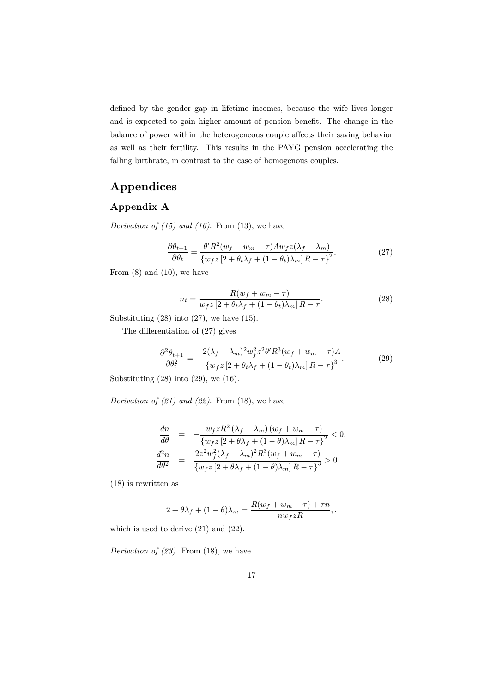defined by the gender gap in lifetime incomes, because the wife lives longer and is expected to gain higher amount of pension benefit. The change in the balance of power within the heterogeneous couple affects their saving behavior as well as their fertility. This results in the PAYG pension accelerating the falling birthrate, in contrast to the case of homogenous couples.

# Appendices

### Appendix A

*Derivation of (15) and (16)*. From (13), we have

$$
\frac{\partial \theta_{t+1}}{\partial \theta_t} = \frac{\theta' R^2 (w_f + w_m - \tau) A w_f z (\lambda_f - \lambda_m)}{\left\{ w_f z \left[ 2 + \theta_t \lambda_f + (1 - \theta_t) \lambda_m \right] R - \tau \right\}^2}.
$$
(27)

From  $(8)$  and  $(10)$ , we have

$$
n_t = \frac{R(w_f + w_m - \tau)}{w_f z \left[2 + \theta_t \lambda_f + (1 - \theta_t)\lambda_m\right]R - \tau}.
$$
\n
$$
(28)
$$

Substituting (28) into (27), we have (15).

The differentiation of (27) gives

$$
\frac{\partial^2 \theta_{t+1}}{\partial \theta_t^2} = -\frac{2(\lambda_f - \lambda_m)^2 w_f^2 z^2 \theta' R^3 (w_f + w_m - \tau) A}{\{w_f z \left[2 + \theta_t \lambda_f + (1 - \theta_t) \lambda_m\right] R - \tau\}^3}.
$$
(29)

Substituting  $(28)$  into  $(29)$ , we  $(16)$ .

*Derivation of (21) and (22)*. From (18), we have

$$
\frac{dn}{d\theta} = -\frac{w_f z R^2 (\lambda_f - \lambda_m) (w_f + w_m - \tau)}{\{w_f z [2 + \theta \lambda_f + (1 - \theta) \lambda_m] R - \tau\}^2} < 0,
$$
  

$$
\frac{d^2 n}{d\theta^2} = \frac{2z^2 w_f^2 (\lambda_f - \lambda_m)^2 R^3 (w_f + w_m - \tau)}{\{w_f z [2 + \theta \lambda_f + (1 - \theta) \lambda_m] R - \tau\}^3} > 0.
$$

(18) is rewritten as

$$
2 + \theta \lambda_f + (1 - \theta) \lambda_m = \frac{R(w_f + w_m - \tau) + \tau n}{nw_f zR},
$$

which is used to derive (21) and (22).

*Derivation of (23)*. From (18), we have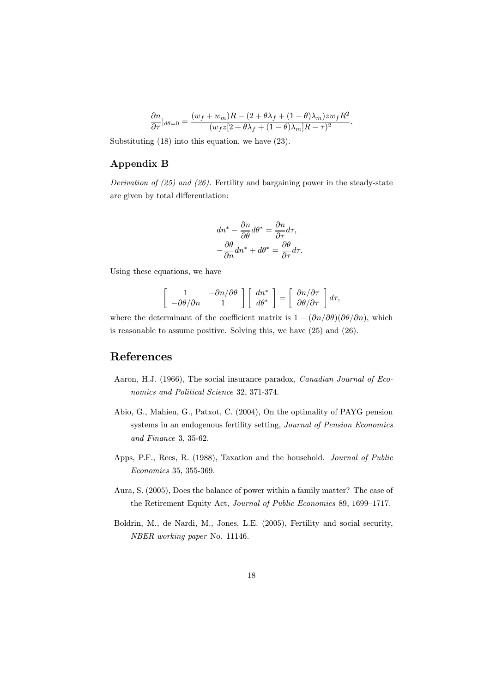$$
\frac{\partial n}{\partial \tau}|_{d\theta=0}=\frac{(w_f+w_m)R-(2+\theta\lambda_f+(1-\theta)\lambda_m)zw_fR^2}{(w_fz[2+\theta\lambda_f+(1-\theta)\lambda_m]R-\tau)^2}.
$$

Substituting (18) into this equation, we have (23).

### Appendix B

*Derivation of (25) and (26).* Fertility and bargaining power in the steady-state are given by total differentiation:

$$
dn^* - \frac{\partial n}{\partial \theta} d\theta^* = \frac{\partial n}{\partial \tau} d\tau,
$$
  

$$
-\frac{\partial \theta}{\partial n} dn^* + d\theta^* = \frac{\partial \theta}{\partial \tau} d\tau.
$$

Using these equations, we have

$$
\left[\begin{array}{cc} 1 & -\partial n/\partial \theta \\ -\partial \theta/\partial n & 1 \end{array}\right] \left[\begin{array}{c} dn^* \\ d\theta^* \end{array}\right] = \left[\begin{array}{c} \partial n/\partial \tau \\ \partial \theta/\partial \tau \end{array}\right] d\tau,
$$

where the determinant of the coefficient matrix is  $1 - (\partial n/\partial \theta)(\partial \theta/\partial n)$ , which is reasonable to assume positive. Solving this, we have (25) and (26).

## References

- Aaron, H.J. (1966), The social insurance paradox, *Canadian Journal of Economics and Political Science* 32, 371-374.
- Abio, G., Mahieu, G., Patxot, C. (2004), On the optimality of PAYG pension systems in an endogenous fertility setting, *Journal of Pension Economics and Finance* 3, 35-62.
- Apps, P.F., Rees, R. (1988), Taxation and the household. *Journal of Public Economics* 35, 355-369.
- Aura, S. (2005), Does the balance of power within a family matter? The case of the Retirement Equity Act, *Journal of Public Economics* 89, 1699—1717.
- Boldrin, M., de Nardi, M., Jones, L.E. (2005), Fertility and social security, *NBER working paper* No. 11146.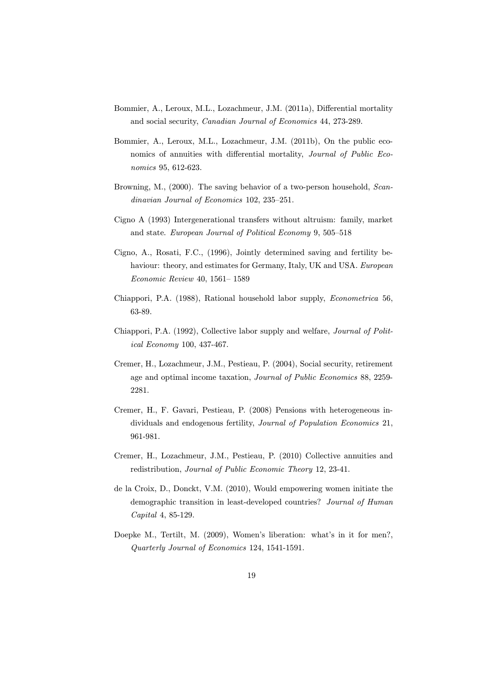- Bommier, A., Leroux, M.L., Lozachmeur, J.M. (2011a), Differential mortality and social security, *Canadian Journal of Economics* 44, 273-289.
- Bommier, A., Leroux, M.L., Lozachmeur, J.M. (2011b), On the public economics of annuities with differential mortality, *Journal of Public Economics* 95, 612-623.
- Browning, M., (2000). The saving behavior of a two-person household, *Scandinavian Journal of Economics* 102, 235—251.
- Cigno A (1993) Intergenerational transfers without altruism: family, market and state. *European Journal of Political Economy* 9, 505—518
- Cigno, A., Rosati, F.C., (1996), Jointly determined saving and fertility behaviour: theory, and estimates for Germany, Italy, UK and USA. *European Economic Review* 40, 1561— 1589
- Chiappori, P.A. (1988), Rational household labor supply, *Econometrica* 56, 63-89.
- Chiappori, P.A. (1992), Collective labor supply and welfare, *Journal of Political Economy* 100, 437-467.
- Cremer, H., Lozachmeur, J.M., Pestieau, P. (2004), Social security, retirement age and optimal income taxation, *Journal of Public Economics* 88, 2259- 2281.
- Cremer, H., F. Gavari, Pestieau, P. (2008) Pensions with heterogeneous individuals and endogenous fertility, *Journal of Population Economics* 21, 961-981.
- Cremer, H., Lozachmeur, J.M., Pestieau, P. (2010) Collective annuities and redistribution, *Journal of Public Economic Theory* 12, 23-41.
- de la Croix, D., Donckt, V.M. (2010), Would empowering women initiate the demographic transition in least-developed countries? *Journal of Human Capital* 4, 85-129.
- Doepke M., Tertilt, M. (2009), Women's liberation: what's in it for men?, *Quarterly Journal of Economics* 124, 1541-1591.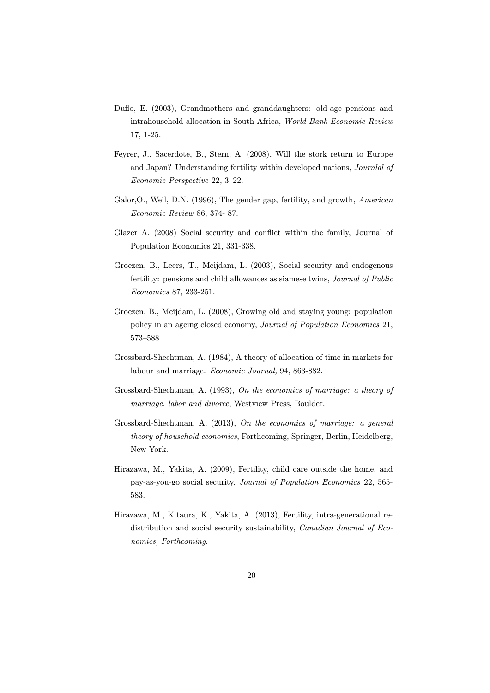- Duflo, E. (2003), Grandmothers and granddaughters: old-age pensions and intrahousehold allocation in South Africa, *World Bank Economic Review* 17, 1-25.
- Feyrer, J., Sacerdote, B., Stern, A. (2008), Will the stork return to Europe and Japan? Understanding fertility within developed nations, *Journlal of Economic Perspective* 22, 3—22.
- Galor,O., Weil, D.N. (1996), The gender gap, fertility, and growth, *American Economic Review* 86, 374- 87.
- Glazer A. (2008) Social security and conflict within the family, Journal of Population Economics 21, 331-338.
- Groezen, B., Leers, T., Meijdam, L. (2003), Social security and endogenous fertility: pensions and child allowances as siamese twins, *Journal of Public Economics* 87, 233-251.
- Groezen, B., Meijdam, L. (2008), Growing old and staying young: population policy in an ageing closed economy, *Journal of Population Economics* 21, 573—588.
- Grossbard-Shechtman, A. (1984), A theory of allocation of time in markets for labour and marriage. *Economic Journal,* 94, 863-882.
- Grossbard-Shechtman, A. (1993), *On the economics of marriage: a theory of marriage, labor and divorce*, Westview Press, Boulder.
- Grossbard-Shechtman, A. (2013), *On the economics of marriage: a general theory of household economics*, Forthcoming, Springer, Berlin, Heidelberg, New York.
- Hirazawa, M., Yakita, A. (2009), Fertility, child care outside the home, and pay-as-you-go social security, *Journal of Population Economics* 22, 565- 583.
- Hirazawa, M., Kitaura, K., Yakita, A. (2013), Fertility, intra-generational redistribution and social security sustainability, *Canadian Journal of Economics, Forthcoming*.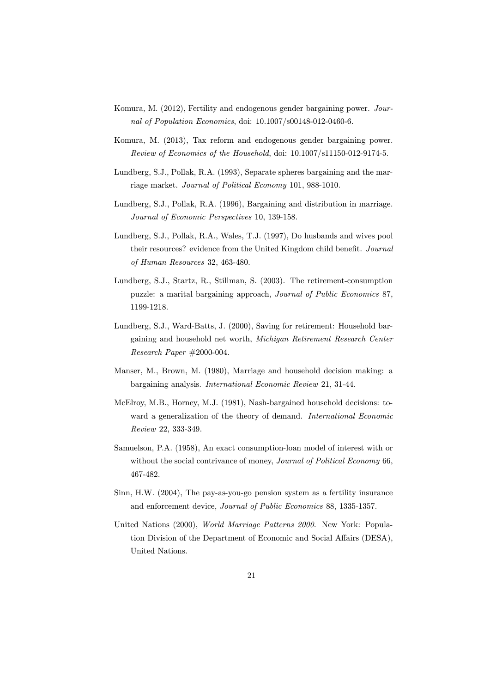- Komura, M. (2012), Fertility and endogenous gender bargaining power. *Journal of Population Economics*, doi: 10.1007/s00148-012-0460-6.
- Komura, M. (2013), Tax reform and endogenous gender bargaining power. *Review of Economics of the Household*, doi: 10.1007/s11150-012-9174-5.
- Lundberg, S.J., Pollak, R.A. (1993), Separate spheres bargaining and the marriage market. *Journal of Political Economy* 101, 988-1010.
- Lundberg, S.J., Pollak, R.A. (1996), Bargaining and distribution in marriage. *Journal of Economic Perspectives* 10, 139-158.
- Lundberg, S.J., Pollak, R.A., Wales, T.J. (1997), Do husbands and wives pool their resources? evidence from the United Kingdom child benefit. *Journal of Human Resources* 32, 463-480.
- Lundberg, S.J., Startz, R., Stillman, S. (2003). The retirement-consumption puzzle: a marital bargaining approach, *Journal of Public Economics* 87, 1199-1218.
- Lundberg, S.J., Ward-Batts, J. (2000), Saving for retirement: Household bargaining and household net worth, *Michigan Retirement Research Center Research Paper* #2000-004.
- Manser, M., Brown, M. (1980), Marriage and household decision making: a bargaining analysis. *International Economic Review* 21, 31-44.
- McElroy, M.B., Horney, M.J. (1981), Nash-bargained household decisions: toward a generalization of the theory of demand. *International Economic Review* 22, 333-349.
- Samuelson, P.A. (1958), An exact consumption-loan model of interest with or without the social contrivance of money, *Journal of Political Economy* 66, 467-482.
- Sinn, H.W. (2004), The pay-as-you-go pension system as a fertility insurance and enforcement device, *Journal of Public Economics* 88, 1335-1357.
- United Nations (2000), *World Marriage Patterns 2000*. New York: Population Division of the Department of Economic and Social Affairs (DESA), United Nations.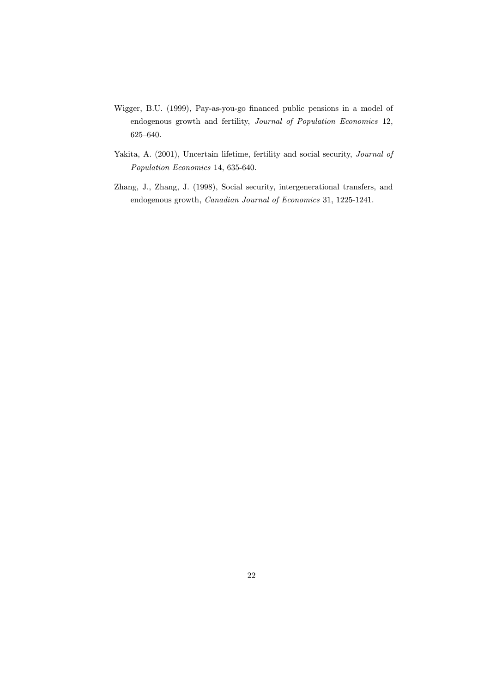- Wigger, B.U. (1999), Pay-as-you-go financed public pensions in a model of endogenous growth and fertility, *Journal of Population Economics* 12, 625—640.
- Yakita, A. (2001), Uncertain lifetime, fertility and social security, *Journal of Population Economics* 14, 635-640.
- Zhang, J., Zhang, J. (1998), Social security, intergenerational transfers, and endogenous growth, *Canadian Journal of Economics* 31, 1225-1241.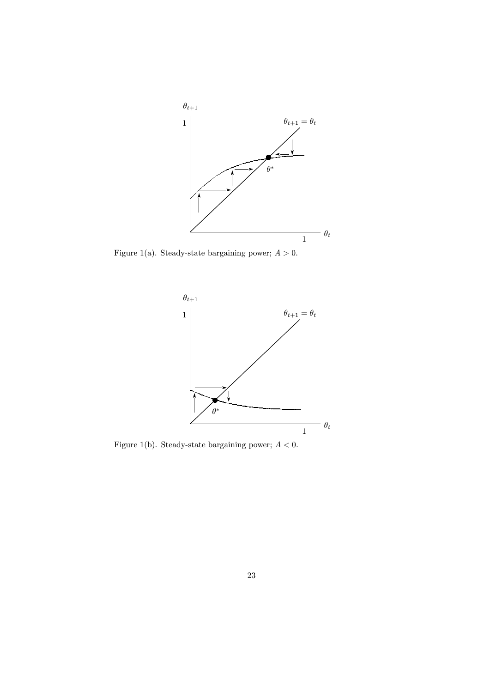

Figure 1(a). Steady-state bargaining power;  $A > 0$ .



Figure 1(b). Steady-state bargaining power;  $A < 0$ .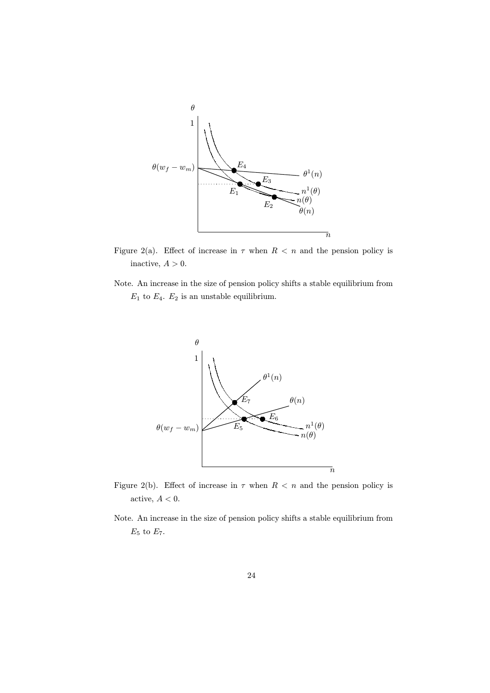

Figure 2(a). Effect of increase in  $\tau$  when  $R < n$  and the pension policy is inactive,  $A > 0$ .

Note. An increase in the size of pension policy shifts a stable equilibrium from  $E_1$  to  $E_4$ .  $E_2$  is an unstable equilibrium.



- Figure 2(b). Effect of increase in  $\tau$  when  $R < n$  and the pension policy is active,  $A < 0$ .
- Note. An increase in the size of pension policy shifts a stable equilibrium from  $\mathcal{E}_5$  to  $\mathcal{E}_7.$